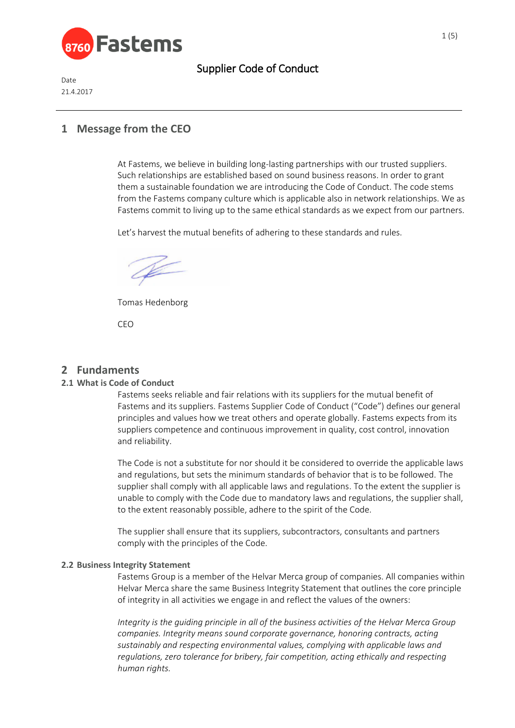

Date 21.4.2017

## **1 Message from the CEO**

At Fastems, we believe in building long-lasting partnerships with our trusted suppliers. Such relationships are established based on sound business reasons. In order to grant them a sustainable foundation we are introducing the Code of Conduct. The code stems from the Fastems company culture which is applicable also in network relationships. We as Fastems commit to living up to the same ethical standards as we expect from our partners.

Let's harvest the mutual benefits of adhering to these standards and rules.

Tomas Hedenborg

CEO

## **2 Fundaments**

### **2.1 What is Code of Conduct**

Fastems seeks reliable and fair relations with its suppliers for the mutual benefit of Fastems and its suppliers. Fastems Supplier Code of Conduct ("Code") defines our general principles and values how we treat others and operate globally. Fastems expects from its suppliers competence and continuous improvement in quality, cost control, innovation and reliability.

The Code is not a substitute for nor should it be considered to override the applicable laws and regulations, but sets the minimum standards of behavior that is to be followed. The supplier shall comply with all applicable laws and regulations. To the extent the supplier is unable to comply with the Code due to mandatory laws and regulations, the supplier shall, to the extent reasonably possible, adhere to the spirit of the Code.

The supplier shall ensure that its suppliers, subcontractors, consultants and partners comply with the principles of the Code.

### **2.2 Business Integrity Statement**

Fastems Group is a member of the Helvar Merca group of companies. All companies within Helvar Merca share the same Business Integrity Statement that outlines the core principle of integrity in all activities we engage in and reflect the values of the owners:

*Integrity is the guiding principle in all of the business activities of the Helvar Merca Group companies. Integrity means sound corporate governance, honoring contracts, acting sustainably and respecting environmental values, complying with applicable laws and regulations, zero tolerance for bribery, fair competition, acting ethically and respecting human rights.*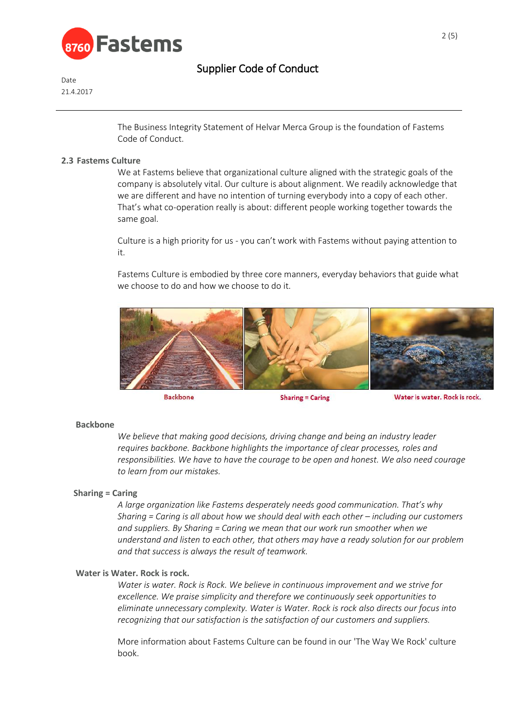

Date 21.4.2017

> The Business Integrity Statement of Helvar Merca Group is the foundation of Fastems Code of Conduct.

#### **2.3 Fastems Culture**

We at Fastems believe that organizational culture aligned with the strategic goals of the company is absolutely vital. Our culture is about alignment. We readily acknowledge that we are different and have no intention of turning everybody into a copy of each other. That's what co-operation really is about: different people working together towards the same goal.

Culture is a high priority for us - you can't work with Fastems without paying attention to it.

Fastems Culture is embodied by three core manners, everyday behaviors that guide what we choose to do and how we choose to do it.



**Backbone** 

**Sharing = Caring** 

Water is water. Rock is rock.

#### **Backbone**

*We believe that making good decisions, driving change and being an industry leader requires backbone. Backbone highlights the importance of clear processes, roles and responsibilities. We have to have the courage to be open and honest. We also need courage to learn from our mistakes.* 

#### **Sharing = Caring**

*A large organization like Fastems desperately needs good communication. That's why Sharing = Caring is all about how we should deal with each other – including our customers and suppliers. By Sharing = Caring we mean that our work run smoother when we understand and listen to each other, that others may have a ready solution for our problem and that success is always the result of teamwork.* 

#### **Water is Water. Rock is rock.**

*Water is water. Rock is Rock. We believe in continuous improvement and we strive for excellence. We praise simplicity and therefore we continuously seek opportunities to eliminate unnecessary complexity. Water is Water. Rock is rock also directs our focus into recognizing that our satisfaction is the satisfaction of our customers and suppliers.*

More information about Fastems Culture can be found in our 'The Way We Rock' culture book.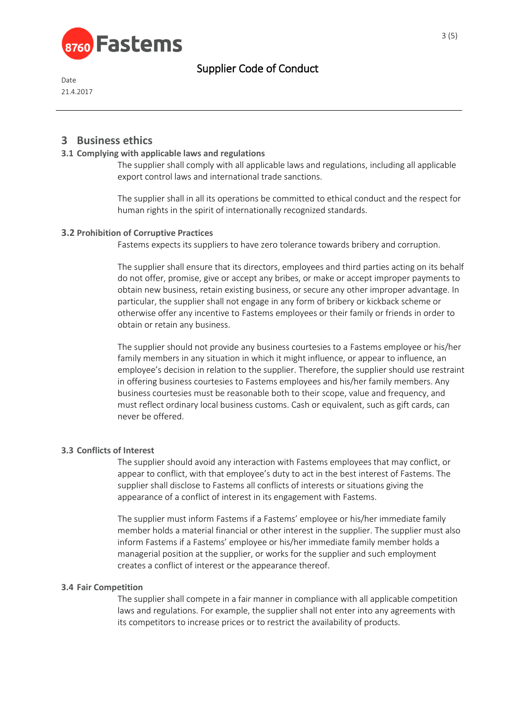

Date 21.4.2017

## **3 Business ethics**

### **3.1 Complying with applicable laws and regulations**

The supplier shall comply with all applicable laws and regulations, including all applicable export control laws and international trade sanctions.

The supplier shall in all its operations be committed to ethical conduct and the respect for human rights in the spirit of internationally recognized standards.

### **3.2 Prohibition of Corruptive Practices**

Fastems expects its suppliers to have zero tolerance towards bribery and corruption.

The supplier shall ensure that its directors, employees and third parties acting on its behalf do not offer, promise, give or accept any bribes, or make or accept improper payments to obtain new business, retain existing business, or secure any other improper advantage. In particular, the supplier shall not engage in any form of bribery or kickback scheme or otherwise offer any incentive to Fastems employees or their family or friends in order to obtain or retain any business.

The supplier should not provide any business courtesies to a Fastems employee or his/her family members in any situation in which it might influence, or appear to influence, an employee's decision in relation to the supplier. Therefore, the supplier should use restraint in offering business courtesies to Fastems employees and his/her family members. Any business courtesies must be reasonable both to their scope, value and frequency, and must reflect ordinary local business customs. Cash or equivalent, such as gift cards, can never be offered.

### **3.3 Conflicts of Interest**

The supplier should avoid any interaction with Fastems employees that may conflict, or appear to conflict, with that employee's duty to act in the best interest of Fastems. The supplier shall disclose to Fastems all conflicts of interests or situations giving the appearance of a conflict of interest in its engagement with Fastems.

The supplier must inform Fastems if a Fastems' employee or his/her immediate family member holds a material financial or other interest in the supplier. The supplier must also inform Fastems if a Fastems' employee or his/her immediate family member holds a managerial position at the supplier, or works for the supplier and such employment creates a conflict of interest or the appearance thereof.

### **3.4 Fair Competition**

The supplier shall compete in a fair manner in compliance with all applicable competition laws and regulations. For example, the supplier shall not enter into any agreements with its competitors to increase prices or to restrict the availability of products.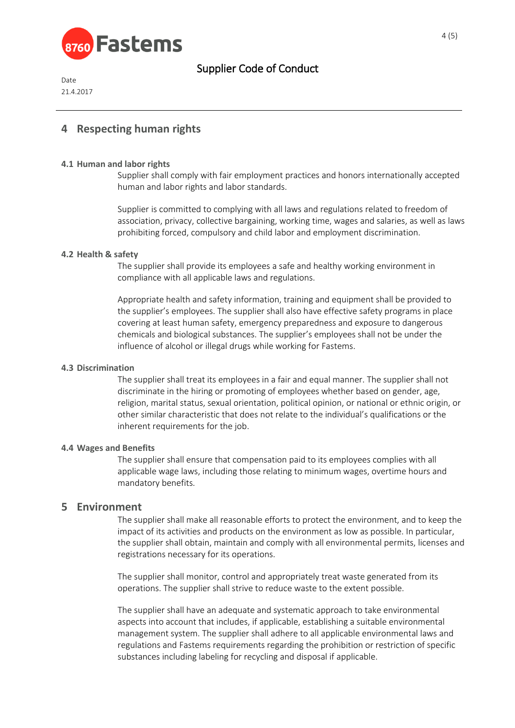

Date 21.4.2017

## **4 Respecting human rights**

### **4.1 Human and labor rights**

Supplier shall comply with fair employment practices and honors internationally accepted human and labor rights and labor standards.

Supplier is committed to complying with all laws and regulations related to freedom of association, privacy, collective bargaining, working time, wages and salaries, as well as laws prohibiting forced, compulsory and child labor and employment discrimination.

#### **4.2 Health & safety**

The supplier shall provide its employees a safe and healthy working environment in compliance with all applicable laws and regulations.

Appropriate health and safety information, training and equipment shall be provided to the supplier's employees. The supplier shall also have effective safety programs in place covering at least human safety, emergency preparedness and exposure to dangerous chemicals and biological substances. The supplier's employees shall not be under the influence of alcohol or illegal drugs while working for Fastems.

#### **4.3 Discrimination**

The supplier shall treat its employees in a fair and equal manner. The supplier shall not discriminate in the hiring or promoting of employees whether based on gender, age, religion, marital status, sexual orientation, political opinion, or national or ethnic origin, or other similar characteristic that does not relate to the individual's qualifications or the inherent requirements for the job.

#### **4.4 Wages and Benefits**

The supplier shall ensure that compensation paid to its employees complies with all applicable wage laws, including those relating to minimum wages, overtime hours and mandatory benefits.

### **5 Environment**

The supplier shall make all reasonable efforts to protect the environment, and to keep the impact of its activities and products on the environment as low as possible. In particular, the supplier shall obtain, maintain and comply with all environmental permits, licenses and registrations necessary for its operations.

The supplier shall monitor, control and appropriately treat waste generated from its operations. The supplier shall strive to reduce waste to the extent possible.

The supplier shall have an adequate and systematic approach to take environmental aspects into account that includes, if applicable, establishing a suitable environmental management system. The supplier shall adhere to all applicable environmental laws and regulations and Fastems requirements regarding the prohibition or restriction of specific substances including labeling for recycling and disposal if applicable.